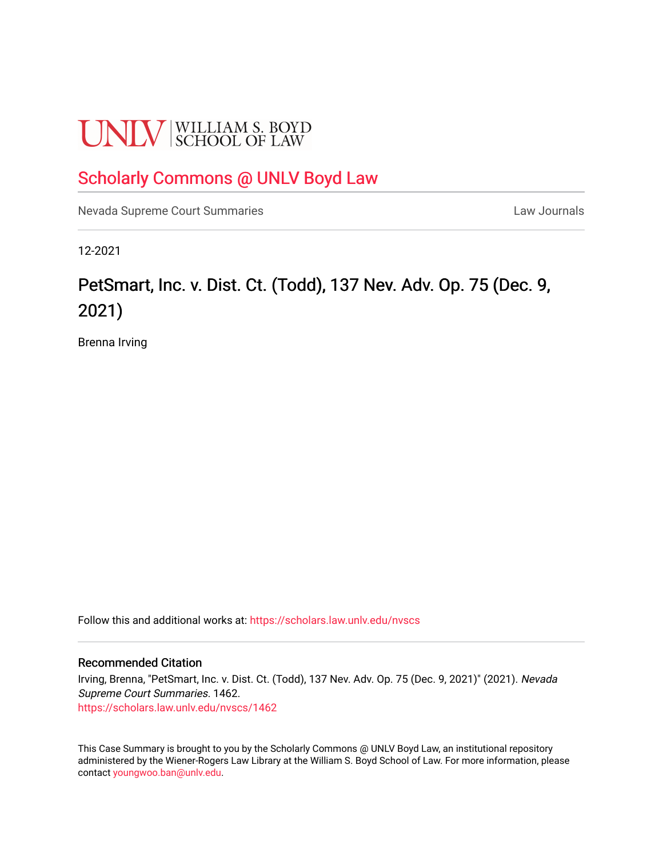# **UNLV** SCHOOL OF LAW

### [Scholarly Commons @ UNLV Boyd Law](https://scholars.law.unlv.edu/)

[Nevada Supreme Court Summaries](https://scholars.law.unlv.edu/nvscs) **Law Journals** Law Journals

12-2021

## PetSmart, Inc. v. Dist. Ct. (Todd), 137 Nev. Adv. Op. 75 (Dec. 9, 2021)

Brenna Irving

Follow this and additional works at: [https://scholars.law.unlv.edu/nvscs](https://scholars.law.unlv.edu/nvscs?utm_source=scholars.law.unlv.edu%2Fnvscs%2F1462&utm_medium=PDF&utm_campaign=PDFCoverPages)

#### Recommended Citation

Irving, Brenna, "PetSmart, Inc. v. Dist. Ct. (Todd), 137 Nev. Adv. Op. 75 (Dec. 9, 2021)" (2021). Nevada Supreme Court Summaries. 1462. [https://scholars.law.unlv.edu/nvscs/1462](https://scholars.law.unlv.edu/nvscs/1462?utm_source=scholars.law.unlv.edu%2Fnvscs%2F1462&utm_medium=PDF&utm_campaign=PDFCoverPages) 

This Case Summary is brought to you by the Scholarly Commons @ UNLV Boyd Law, an institutional repository administered by the Wiener-Rogers Law Library at the William S. Boyd School of Law. For more information, please contact [youngwoo.ban@unlv.edu](mailto:youngwoo.ban@unlv.edu).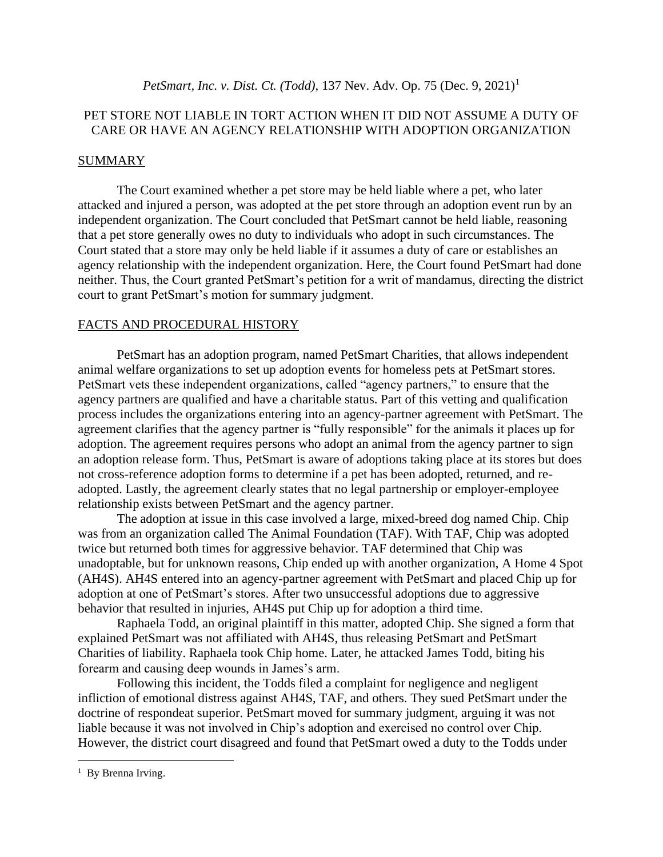#### PET STORE NOT LIABLE IN TORT ACTION WHEN IT DID NOT ASSUME A DUTY OF CARE OR HAVE AN AGENCY RELATIONSHIP WITH ADOPTION ORGANIZATION

#### **SUMMARY**

The Court examined whether a pet store may be held liable where a pet, who later attacked and injured a person, was adopted at the pet store through an adoption event run by an independent organization. The Court concluded that PetSmart cannot be held liable, reasoning that a pet store generally owes no duty to individuals who adopt in such circumstances. The Court stated that a store may only be held liable if it assumes a duty of care or establishes an agency relationship with the independent organization. Here, the Court found PetSmart had done neither. Thus, the Court granted PetSmart's petition for a writ of mandamus, directing the district court to grant PetSmart's motion for summary judgment.

#### FACTS AND PROCEDURAL HISTORY

PetSmart has an adoption program, named PetSmart Charities, that allows independent animal welfare organizations to set up adoption events for homeless pets at PetSmart stores. PetSmart vets these independent organizations, called "agency partners," to ensure that the agency partners are qualified and have a charitable status. Part of this vetting and qualification process includes the organizations entering into an agency-partner agreement with PetSmart. The agreement clarifies that the agency partner is "fully responsible" for the animals it places up for adoption. The agreement requires persons who adopt an animal from the agency partner to sign an adoption release form. Thus, PetSmart is aware of adoptions taking place at its stores but does not cross-reference adoption forms to determine if a pet has been adopted, returned, and readopted. Lastly, the agreement clearly states that no legal partnership or employer-employee relationship exists between PetSmart and the agency partner.

The adoption at issue in this case involved a large, mixed-breed dog named Chip. Chip was from an organization called The Animal Foundation (TAF). With TAF, Chip was adopted twice but returned both times for aggressive behavior. TAF determined that Chip was unadoptable, but for unknown reasons, Chip ended up with another organization, A Home 4 Spot (AH4S). AH4S entered into an agency-partner agreement with PetSmart and placed Chip up for adoption at one of PetSmart's stores. After two unsuccessful adoptions due to aggressive behavior that resulted in injuries, AH4S put Chip up for adoption a third time.

Raphaela Todd, an original plaintiff in this matter, adopted Chip. She signed a form that explained PetSmart was not affiliated with AH4S, thus releasing PetSmart and PetSmart Charities of liability. Raphaela took Chip home. Later, he attacked James Todd, biting his forearm and causing deep wounds in James's arm.

Following this incident, the Todds filed a complaint for negligence and negligent infliction of emotional distress against AH4S, TAF, and others. They sued PetSmart under the doctrine of respondeat superior. PetSmart moved for summary judgment, arguing it was not liable because it was not involved in Chip's adoption and exercised no control over Chip. However, the district court disagreed and found that PetSmart owed a duty to the Todds under

<sup>&</sup>lt;sup>1</sup> By Brenna Irving.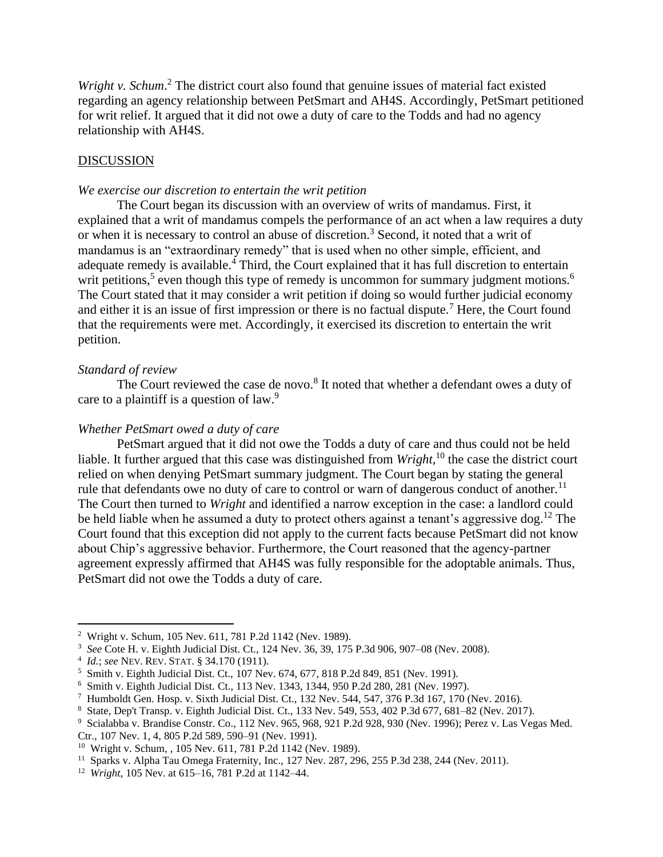Wright v. Schum.<sup>2</sup> The district court also found that genuine issues of material fact existed regarding an agency relationship between PetSmart and AH4S. Accordingly, PetSmart petitioned for writ relief. It argued that it did not owe a duty of care to the Todds and had no agency relationship with AH4S.

#### **DISCUSSION**

#### *We exercise our discretion to entertain the writ petition*

The Court began its discussion with an overview of writs of mandamus. First, it explained that a writ of mandamus compels the performance of an act when a law requires a duty or when it is necessary to control an abuse of discretion.<sup>3</sup> Second, it noted that a writ of mandamus is an "extraordinary remedy" that is used when no other simple, efficient, and adequate remedy is available.<sup>4</sup> Third, the Court explained that it has full discretion to entertain writ petitions,<sup>5</sup> even though this type of remedy is uncommon for summary judgment motions.<sup>6</sup> The Court stated that it may consider a writ petition if doing so would further judicial economy and either it is an issue of first impression or there is no factual dispute.<sup>7</sup> Here, the Court found that the requirements were met. Accordingly, it exercised its discretion to entertain the writ petition.

#### *Standard of review*

The Court reviewed the case de novo.<sup>8</sup> It noted that whether a defendant owes a duty of care to a plaintiff is a question of law.<sup>9</sup>

#### *Whether PetSmart owed a duty of care*

PetSmart argued that it did not owe the Todds a duty of care and thus could not be held liable. It further argued that this case was distinguished from *Wright*,<sup>10</sup> the case the district court relied on when denying PetSmart summary judgment. The Court began by stating the general rule that defendants owe no duty of care to control or warn of dangerous conduct of another.<sup>11</sup> The Court then turned to *Wright* and identified a narrow exception in the case: a landlord could be held liable when he assumed a duty to protect others against a tenant's aggressive dog.<sup>12</sup> The Court found that this exception did not apply to the current facts because PetSmart did not know about Chip's aggressive behavior. Furthermore, the Court reasoned that the agency-partner agreement expressly affirmed that AH4S was fully responsible for the adoptable animals. Thus, PetSmart did not owe the Todds a duty of care.

Ctr., 107 Nev. 1, 4, 805 P.2d 589, 590–91 (Nev. 1991).

<sup>2</sup> Wright v. Schum*,* 105 Nev. 611, 781 P.2d 1142 (Nev. 1989).

<sup>3</sup> *See* Cote H. v. Eighth Judicial Dist. Ct., 124 Nev. 36, 39, 175 P.3d 906, 907–08 (Nev. 2008).

<sup>4</sup> *Id.*; *see* NEV. REV. STAT. § 34.170 (1911).

<sup>&</sup>lt;sup>5</sup> Smith v. Eighth Judicial Dist. Ct., 107 Nev. 674, 677, 818 P.2d 849, 851 (Nev. 1991).

<sup>6</sup> Smith v. Eighth Judicial Dist. Ct., 113 Nev. 1343, 1344, 950 P.2d 280, 281 (Nev. 1997).

<sup>&</sup>lt;sup>7</sup> Humboldt Gen. Hosp. v. Sixth Judicial Dist. Ct., 132 Nev. 544, 547, 376 P.3d 167, 170 (Nev. 2016).

<sup>8</sup> State, Dep't Transp. v. Eighth Judicial Dist. Ct., 133 Nev. 549, 553, 402 P.3d 677, 681–82 (Nev. 2017).

<sup>9</sup> Scialabba v. Brandise Constr. Co., 112 Nev. 965, 968, 921 P.2d 928, 930 (Nev. 1996); Perez v. Las Vegas Med.

<sup>10</sup> Wright v. Schum*, ,* 105 Nev. 611, 781 P.2d 1142 (Nev. 1989).

<sup>&</sup>lt;sup>11</sup> Sparks v. Alpha Tau Omega Fraternity, Inc., 127 Nev. 287, 296, 255 P.3d 238, 244 (Nev. 2011).

<sup>12</sup> *Wright*, 105 Nev. at 615–16, 781 P.2d at 1142–44.